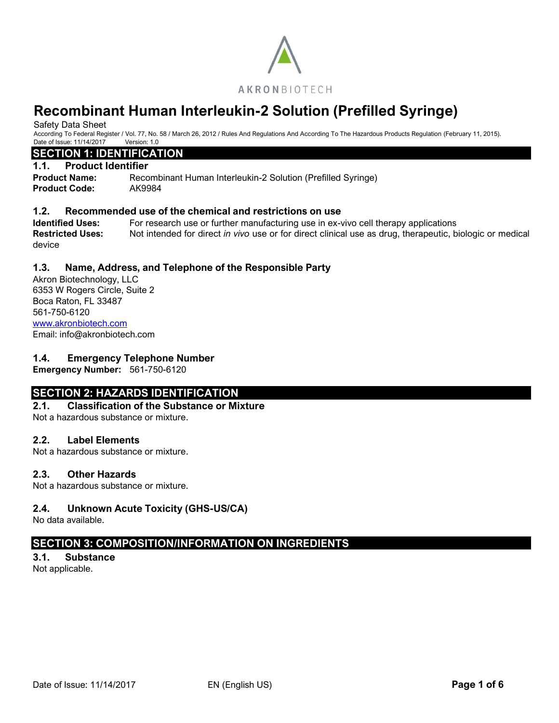

# **Recombinant Human Interleukin-2 Solution (Prefilled Syringe)**

Safety Data Sheet

According To Federal Register / Vol. 77, No. 58 / March 26, 2012 / Rules And Regulations And According To The Hazardous Products Regulation (February 11, 2015). Date of Issue: 11/14/2017 Version: 1.0

## **SECTION 1: IDENTIFICATION**

#### **1.1. Product Identifier**

**Product Name:** Recombinant Human Interleukin-2 Solution (Prefilled Syringe) **Product Code:** AK9984

#### **1.2. Recommended use of the chemical and restrictions on use**

**Identified Uses:** For research use or further manufacturing use in ex-vivo cell therapy applications **Restricted Uses:** Not intended for direct *in vivo* use or for direct clinical use as drug, therapeutic, biologic or medical device

## **1.3. Name, Address, and Telephone of the Responsible Party**

Akron Biotechnology, LLC 6353 W Rogers Circle, Suite 2 Boca Raton, FL 33487 561-750-6120 [www.akronbiotech.com](http://www.akronbiotech.com/%3c/a) Email: info@akronbiotech.com

#### **1.4. Emergency Telephone Number**

**Emergency Number:** 561-750-6120

# **SECTION 2: HAZARDS IDENTIFICATION**

#### **2.1. Classification of the Substance or Mixture**

Not a hazardous substance or mixture.

#### **2.2. Label Elements**

Not a hazardous substance or mixture.

#### **2.3. Other Hazards**

Not a hazardous substance or mixture.

# **2.4. Unknown Acute Toxicity (GHS-US/CA)**

No data available.

# **SECTION 3: COMPOSITION/INFORMATION ON INGREDIENTS**

#### **3.1. Substance**

Not applicable.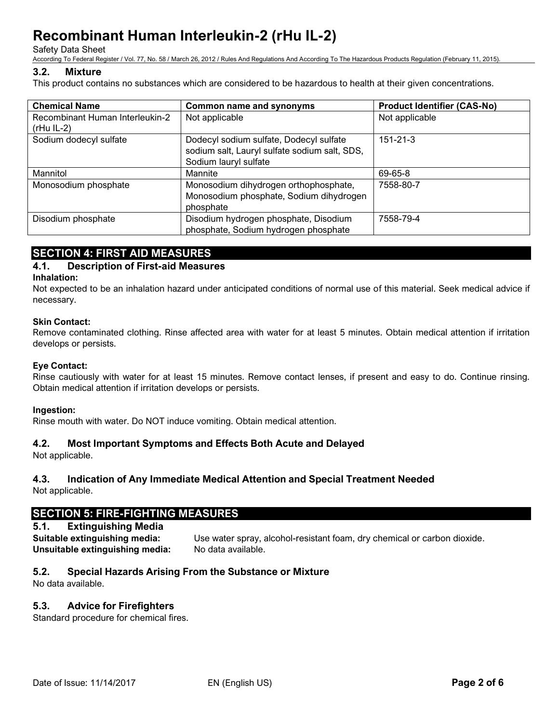Safety Data Sheet

According To Federal Register / Vol. 77, No. 58 / March 26, 2012 / Rules And Regulations And According To The Hazardous Products Regulation (February 11, 2015).

#### **3.2. Mixture**

This product contains no substances which are considered to be hazardous to health at their given concentrations.

| <b>Chemical Name</b>                            | <b>Common name and synonyms</b>                                                                                   | <b>Product Identifier (CAS-No)</b> |
|-------------------------------------------------|-------------------------------------------------------------------------------------------------------------------|------------------------------------|
| Recombinant Human Interleukin-2<br>$(rHu IL-2)$ | Not applicable                                                                                                    | Not applicable                     |
| Sodium dodecyl sulfate                          | Dodecyl sodium sulfate, Dodecyl sulfate<br>sodium salt, Lauryl sulfate sodium salt, SDS,<br>Sodium lauryl sulfate | $151 - 21 - 3$                     |
| Mannitol                                        | Mannite                                                                                                           | 69-65-8                            |
| Monosodium phosphate                            | Monosodium dihydrogen orthophosphate,<br>Monosodium phosphate, Sodium dihydrogen<br>phosphate                     | 7558-80-7                          |
| Disodium phosphate                              | Disodium hydrogen phosphate, Disodium<br>phosphate, Sodium hydrogen phosphate                                     | 7558-79-4                          |

# **SECTION 4: FIRST AID MEASURES**

# **4.1. Description of First-aid Measures**

#### **Inhalation:**

Not expected to be an inhalation hazard under anticipated conditions of normal use of this material. Seek medical advice if necessary.

#### **Skin Contact:**

Remove contaminated clothing. Rinse affected area with water for at least 5 minutes. Obtain medical attention if irritation develops or persists.

#### **Eye Contact:**

Rinse cautiously with water for at least 15 minutes. Remove contact lenses, if present and easy to do. Continue rinsing. Obtain medical attention if irritation develops or persists.

#### **Ingestion:**

Rinse mouth with water. Do NOT induce vomiting. Obtain medical attention.

#### **4.2. Most Important Symptoms and Effects Both Acute and Delayed**

Not applicable.

# **4.3. Indication of Any Immediate Medical Attention and Special Treatment Needed**

Not applicable.

# **SECTION 5: FIRE-FIGHTING MEASURES**

## **5.1. Extinguishing Media**

**Suitable extinguishing media:** Use water spray, alcohol-resistant foam, dry chemical or carbon dioxide. **Unsuitable extinguishing media:** No data available.

#### **5.2. Special Hazards Arising From the Substance or Mixture**

No data available.

# **5.3. Advice for Firefighters**

Standard procedure for chemical fires.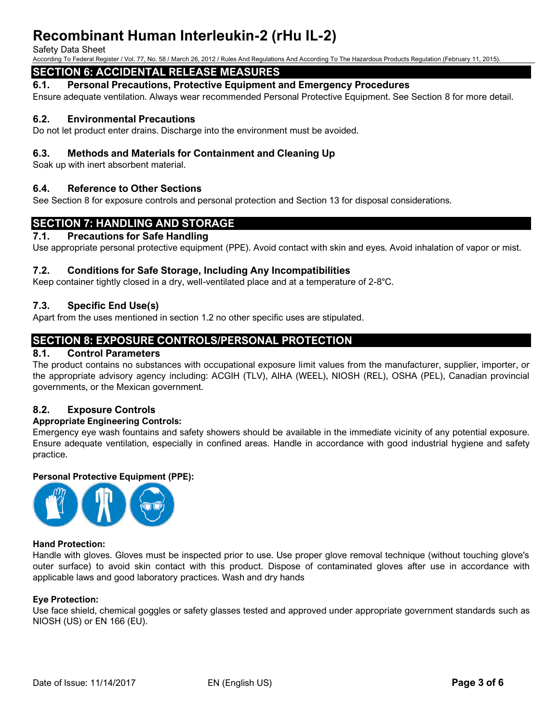#### Safety Data Sheet

According To Federal Register / Vol. 77, No. 58 / March 26, 2012 / Rules And Regulations And According To The Hazardous Products Regulation (February 11, 2015).

# **SECTION 6: ACCIDENTAL RELEASE MEASURES**

**6.1. Personal Precautions, Protective Equipment and Emergency Procedures**

Ensure adequate ventilation. Always wear recommended Personal Protective Equipment. See Section 8 for more detail.

## **6.2. Environmental Precautions**

Do not let product enter drains. Discharge into the environment must be avoided.

## **6.3. Methods and Materials for Containment and Cleaning Up**

Soak up with inert absorbent material.

## **6.4. Reference to Other Sections**

See Section 8 for exposure controls and personal protection and Section 13 for disposal considerations.

# **SECTION 7: HANDLING AND STORAGE**

#### **7.1. Precautions for Safe Handling**

Use appropriate personal protective equipment (PPE). Avoid contact with skin and eyes. Avoid inhalation of vapor or mist.

#### **7.2. Conditions for Safe Storage, Including Any Incompatibilities**

Keep container tightly closed in a dry, well-ventilated place and at a temperature of 2-8°C.

## **7.3. Specific End Use(s)**

Apart from the uses mentioned in section 1.2 no other specific uses are stipulated.

# **SECTION 8: EXPOSURE CONTROLS/PERSONAL PROTECTION**

### **8.1. Control Parameters**

The product contains no substances with occupational exposure limit values from the manufacturer, supplier, importer, or the appropriate advisory agency including: ACGIH (TLV), AIHA (WEEL), NIOSH (REL), OSHA (PEL), Canadian provincial governments, or the Mexican government.

#### **8.2. Exposure Controls**

#### **Appropriate Engineering Controls:**

Emergency eye wash fountains and safety showers should be available in the immediate vicinity of any potential exposure. Ensure adequate ventilation, especially in confined areas. Handle in accordance with good industrial hygiene and safety practice.

#### **Personal Protective Equipment (PPE):**



#### **Hand Protection:**

Handle with gloves. Gloves must be inspected prior to use. Use proper glove removal technique (without touching glove's outer surface) to avoid skin contact with this product. Dispose of contaminated gloves after use in accordance with applicable laws and good laboratory practices. Wash and dry hands

#### **Eye Protection:**

Use face shield, chemical goggles or safety glasses tested and approved under appropriate government standards such as NIOSH (US) or EN 166 (EU).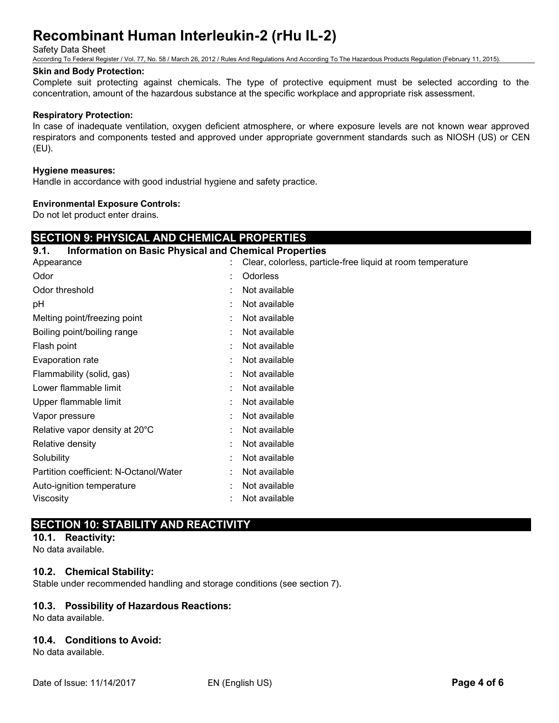Safety Data Sheet

According To Federal Register / Vol. 77, No. 58 / March 26, 2012 / Rules And Regulations And According To The Hazardous Products Regulation (February 11, 2015).

#### **Skin and Body Protection:**

Complete suit protecting against chemicals. The type of protective equipment must be selected according to the concentration, amount of the hazardous substance at the specific workplace and appropriate risk assessment.

#### **Respiratory Protection:**

In case of inadequate ventilation, oxygen deficient atmosphere, or where exposure levels are not known wear approved respirators and components tested and approved under appropriate government standards such as NIOSH (US) or CEN (EU).

#### **Hygiene measures:**

Handle in accordance with good industrial hygiene and safety practice.

#### **Environmental Exposure Controls:**

Do not let product enter drains.

# **SECTION 9: PHYSICAL AND CHEMICAL PROPERTIES**

#### **9.1. Information on Basic Physical and Chemical Properties**

| Appearance                             | Clear, colorless, particle-free liquid at room temperature |
|----------------------------------------|------------------------------------------------------------|
| Odor                                   | Odorless                                                   |
| Odor threshold                         | Not available                                              |
| рH                                     | Not available                                              |
| Melting point/freezing point           | Not available                                              |
| Boiling point/boiling range            | Not available                                              |
| Flash point                            | Not available                                              |
| Evaporation rate                       | Not available                                              |
| Flammability (solid, gas)              | Not available                                              |
| Lower flammable limit                  | Not available                                              |
| Upper flammable limit                  | Not available                                              |
| Vapor pressure                         | Not available                                              |
| Relative vapor density at 20°C         | Not available                                              |
| Relative density                       | Not available                                              |
| Solubility                             | Not available                                              |
| Partition coefficient: N-Octanol/Water | Not available                                              |
| Auto-ignition temperature              | Not available                                              |
| Viscosity                              | Not available                                              |
|                                        |                                                            |

# **SECTION 10: STABILITY AND REACTIVITY**

**10.1. Reactivity:**

No data available.

#### **10.2. Chemical Stability:**

Stable under recommended handling and storage conditions (see section 7).

#### **10.3. Possibility of Hazardous Reactions:**

No data available.

#### **10.4. Conditions to Avoid:**

No data available.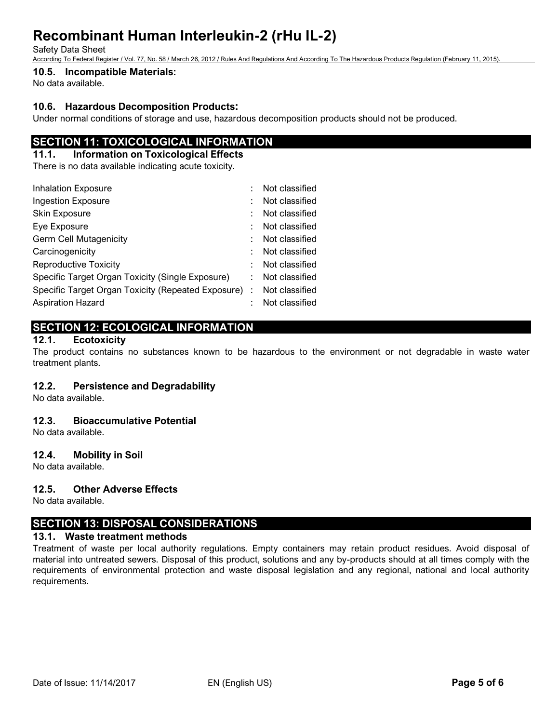Safety Data Sheet

According To Federal Register / Vol. 77, No. 58 / March 26, 2012 / Rules And Regulations And According To The Hazardous Products Regulation (February 11, 2015).

# **10.5. Incompatible Materials:**

No data available.

#### **10.6. Hazardous Decomposition Products:**

Under normal conditions of storage and use, hazardous decomposition products should not be produced.

# **SECTION 11: TOXICOLOGICAL INFORMATION**

#### **11.1. Information on Toxicological Effects**

There is no data available indicating acute toxicity.

| <b>Inhalation Exposure</b>                         | Not classified |
|----------------------------------------------------|----------------|
| <b>Ingestion Exposure</b>                          | Not classified |
| Skin Exposure                                      | Not classified |
| Eye Exposure                                       | Not classified |
| <b>Germ Cell Mutagenicity</b>                      | Not classified |
| Carcinogenicity                                    | Not classified |
| <b>Reproductive Toxicity</b>                       | Not classified |
| Specific Target Organ Toxicity (Single Exposure)   | Not classified |
| Specific Target Organ Toxicity (Repeated Exposure) | Not classified |
| <b>Aspiration Hazard</b>                           | Not classified |

# **SECTION 12: ECOLOGICAL INFORMATION**

#### **12.1. Ecotoxicity**

The product contains no substances known to be hazardous to the environment or not degradable in waste water treatment plants.

#### **12.2. Persistence and Degradability**

No data available.

#### **12.3. Bioaccumulative Potential**

No data available.

#### **12.4. Mobility in Soil**

No data available.

#### **12.5. Other Adverse Effects**

No data available.

# **SECTION 13: DISPOSAL CONSIDERATIONS**

## **13.1. Waste treatment methods**

Treatment of waste per local authority regulations. Empty containers may retain product residues. Avoid disposal of material into untreated sewers. Disposal of this product, solutions and any by-products should at all times comply with the requirements of environmental protection and waste disposal legislation and any regional, national and local authority requirements.